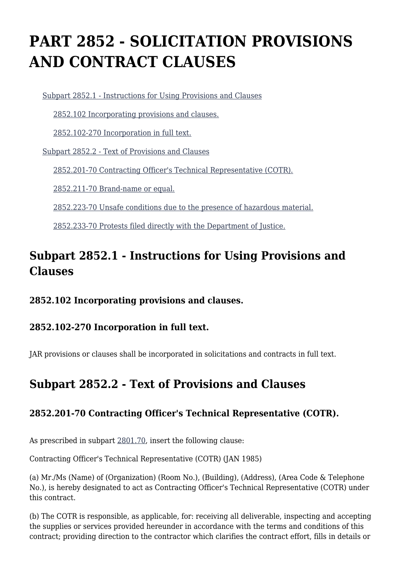# **PART 2852 - SOLICITATION PROVISIONS AND CONTRACT CLAUSES**

[Subpart 2852.1 - Instructions for Using Provisions and Clauses](https://login.acquisition.gov/%5Brp:link:jar-part-2852%5D#Subpart_2852_1_T48_601167331)

[2852.102 Incorporating provisions and clauses.](https://login.acquisition.gov/%5Brp:link:jar-part-2852%5D#Section_2852_102_T48_60116733111)

[2852.102-270 Incorporation in full text.](https://login.acquisition.gov/%5Brp:link:jar-part-2852%5D#Section_2852_102_270_T48_60116733112)

[Subpart 2852.2 - Text of Provisions and Clauses](https://login.acquisition.gov/%5Brp:link:jar-part-2852%5D#Subpart_2852_2_T48_601167332)

[2852.201-70 Contracting Officer's Technical Representative \(COTR\).](https://login.acquisition.gov/%5Brp:link:jar-part-2852%5D#Section_2852_201_70_T48_60116733211)

[2852.211-70 Brand-name or equal.](https://login.acquisition.gov/%5Brp:link:jar-part-2852%5D#Section_2852_211_70_T48_60116733212)

[2852.223-70 Unsafe conditions due to the presence of hazardous material.](https://login.acquisition.gov/%5Brp:link:jar-part-2852%5D#Section_2852_223_70_T48_60116733213)

[2852.233-70 Protests filed directly with the Department of Justice.](https://login.acquisition.gov/%5Brp:link:jar-part-2852%5D#Section_2852_233_70_T48_60116733214)

## **Subpart 2852.1 - Instructions for Using Provisions and Clauses**

## **2852.102 Incorporating provisions and clauses.**

## **2852.102-270 Incorporation in full text.**

JAR provisions or clauses shall be incorporated in solicitations and contracts in full text.

## **Subpart 2852.2 - Text of Provisions and Clauses**

## **2852.201-70 Contracting Officer's Technical Representative (COTR).**

As prescribed in subpart [2801.70](https://login.acquisition.gov/%5Brp:link:jar-part-2801%5D#Subpart_2801_70_T48_60116026), insert the following clause:

Contracting Officer's Technical Representative (COTR) (JAN 1985)

(a) Mr./Ms (Name) of (Organization) (Room No.), (Building), (Address), (Area Code & Telephone No.), is hereby designated to act as Contracting Officer's Technical Representative (COTR) under this contract.

(b) The COTR is responsible, as applicable, for: receiving all deliverable, inspecting and accepting the supplies or services provided hereunder in accordance with the terms and conditions of this contract; providing direction to the contractor which clarifies the contract effort, fills in details or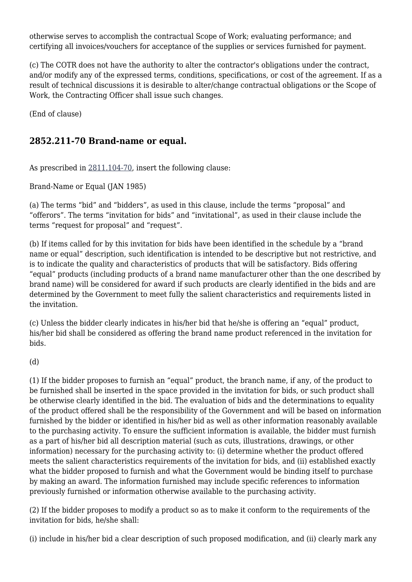otherwise serves to accomplish the contractual Scope of Work; evaluating performance; and certifying all invoices/vouchers for acceptance of the supplies or services furnished for payment.

(c) The COTR does not have the authority to alter the contractor's obligations under the contract, and/or modify any of the expressed terms, conditions, specifications, or cost of the agreement. If as a result of technical discussions it is desirable to alter/change contractual obligations or the Scope of Work, the Contracting Officer shall issue such changes.

(End of clause)

## **2852.211-70 Brand-name or equal.**

As prescribed in [2811.104-70,](https://login.acquisition.gov/%5Brp:link:jar-part-2811%5D#Section_2811_104_70_T48_60116111112) insert the following clause:

Brand-Name or Equal (JAN 1985)

(a) The terms "bid" and "bidders", as used in this clause, include the terms "proposal" and "offerors". The terms "invitation for bids" and "invitational", as used in their clause include the terms "request for proposal" and "request".

(b) If items called for by this invitation for bids have been identified in the schedule by a "brand name or equal" description, such identification is intended to be descriptive but not restrictive, and is to indicate the quality and characteristics of products that will be satisfactory. Bids offering "equal" products (including products of a brand name manufacturer other than the one described by brand name) will be considered for award if such products are clearly identified in the bids and are determined by the Government to meet fully the salient characteristics and requirements listed in the invitation.

(c) Unless the bidder clearly indicates in his/her bid that he/she is offering an "equal" product, his/her bid shall be considered as offering the brand name product referenced in the invitation for bids.

(d)

(1) If the bidder proposes to furnish an "equal" product, the branch name, if any, of the product to be furnished shall be inserted in the space provided in the invitation for bids, or such product shall be otherwise clearly identified in the bid. The evaluation of bids and the determinations to equality of the product offered shall be the responsibility of the Government and will be based on information furnished by the bidder or identified in his/her bid as well as other information reasonably available to the purchasing activity. To ensure the sufficient information is available, the bidder must furnish as a part of his/her bid all description material (such as cuts, illustrations, drawings, or other information) necessary for the purchasing activity to: (i) determine whether the product offered meets the salient characteristics requirements of the invitation for bids, and (ii) established exactly what the bidder proposed to furnish and what the Government would be binding itself to purchase by making an award. The information furnished may include specific references to information previously furnished or information otherwise available to the purchasing activity.

(2) If the bidder proposes to modify a product so as to make it conform to the requirements of the invitation for bids, he/she shall:

(i) include in his/her bid a clear description of such proposed modification, and (ii) clearly mark any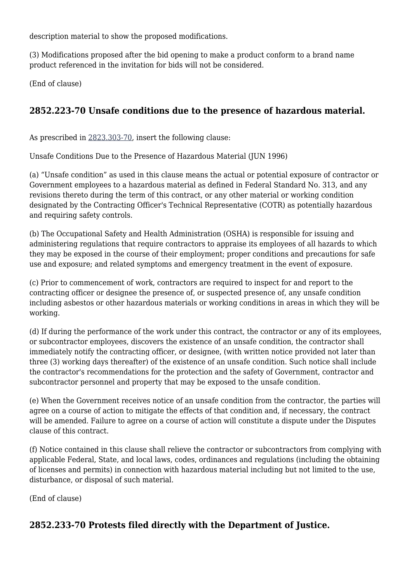description material to show the proposed modifications.

(3) Modifications proposed after the bid opening to make a product conform to a brand name product referenced in the invitation for bids will not be considered.

(End of clause)

## **2852.223-70 Unsafe conditions due to the presence of hazardous material.**

As prescribed in [2823.303-70,](https://login.acquisition.gov/%5Brp:link:jar-part-2823%5D#Section_2823_303_70_T48_60116320211) insert the following clause:

Unsafe Conditions Due to the Presence of Hazardous Material (JUN 1996)

(a) "Unsafe condition" as used in this clause means the actual or potential exposure of contractor or Government employees to a hazardous material as defined in Federal Standard No. 313, and any revisions thereto during the term of this contract, or any other material or working condition designated by the Contracting Officer's Technical Representative (COTR) as potentially hazardous and requiring safety controls.

(b) The Occupational Safety and Health Administration (OSHA) is responsible for issuing and administering regulations that require contractors to appraise its employees of all hazards to which they may be exposed in the course of their employment; proper conditions and precautions for safe use and exposure; and related symptoms and emergency treatment in the event of exposure.

(c) Prior to commencement of work, contractors are required to inspect for and report to the contracting officer or designee the presence of, or suspected presence of, any unsafe condition including asbestos or other hazardous materials or working conditions in areas in which they will be working.

(d) If during the performance of the work under this contract, the contractor or any of its employees, or subcontractor employees, discovers the existence of an unsafe condition, the contractor shall immediately notify the contracting officer, or designee, (with written notice provided not later than three (3) working days thereafter) of the existence of an unsafe condition. Such notice shall include the contractor's recommendations for the protection and the safety of Government, contractor and subcontractor personnel and property that may be exposed to the unsafe condition.

(e) When the Government receives notice of an unsafe condition from the contractor, the parties will agree on a course of action to mitigate the effects of that condition and, if necessary, the contract will be amended. Failure to agree on a course of action will constitute a dispute under the Disputes clause of this contract.

(f) Notice contained in this clause shall relieve the contractor or subcontractors from complying with applicable Federal, State, and local laws, codes, ordinances and regulations (including the obtaining of licenses and permits) in connection with hazardous material including but not limited to the use, disturbance, or disposal of such material.

(End of clause)

## **2852.233-70 Protests filed directly with the Department of Justice.**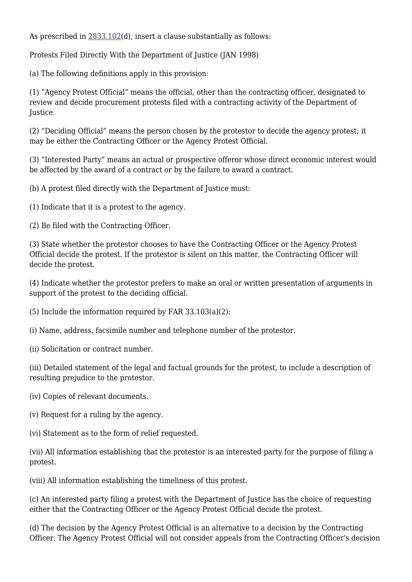As prescribed in [2833.102\(](https://login.acquisition.gov/%5Brp:link:jar-part-2833%5D#Section_2833_102_T48_60116428112)d), insert a clause substantially as follows:

Protests Filed Directly With the Department of Justice (JAN 1998)

(a) The following definitions apply in this provision:

(1) "Agency Protest Official" means the official, other than the contracting officer, designated to review and decide procurement protests filed with a contracting activity of the Department of Justice.

(2) "Deciding Official" means the person chosen by the protestor to decide the agency protest; it may be either the Contracting Officer or the Agency Protest Official.

(3) "Interested Party" means an actual or prospective offeror whose direct economic interest would be affected by the award of a contract or by the failure to award a contract.

(b) A protest filed directly with the Department of Justice must:

(1) Indicate that it is a protest to the agency.

(2) Be filed with the Contracting Officer.

(3) State whether the protestor chooses to have the Contracting Officer or the Agency Protest Official decide the protest. If the protestor is silent on this matter, the Contracting Officer will decide the protest.

(4) Indicate whether the protestor prefers to make an oral or written presentation of arguments in support of the protest to the deciding official.

(5) Include the information required by FAR 33.103(a)(2):

(i) Name, address, facsimile number and telephone number of the protestor.

(ii) Solicitation or contract number.

(iii) Detailed statement of the legal and factual grounds for the protest, to include a description of resulting prejudice to the protestor.

(iv) Copies of relevant documents.

(v) Request for a ruling by the agency.

(vi) Statement as to the form of relief requested.

(vii) All information establishing that the protestor is an interested party for the purpose of filing a protest.

(viii) All information establishing the timeliness of this protest.

(c) An interested party filing a protest with the Department of Justice has the choice of requesting either that the Contracting Officer or the Agency Protest Official decide the protest.

(d) The decision by the Agency Protest Official is an alternative to a decision by the Contracting Officer. The Agency Protest Official will not consider appeals from the Contracting Officer's decision